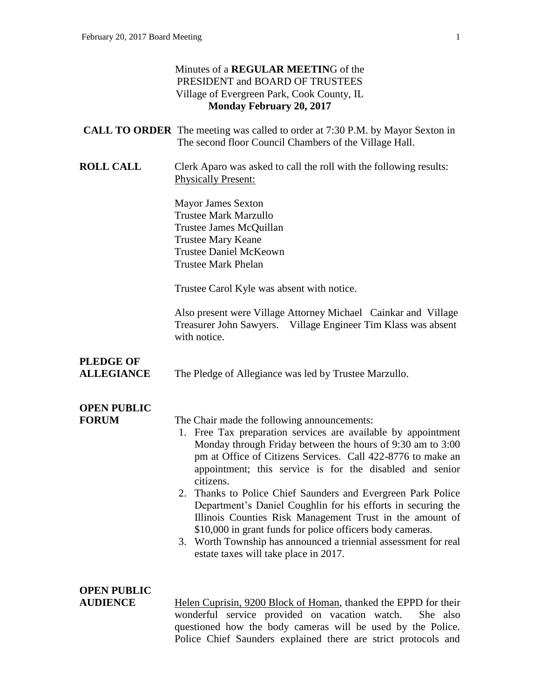## Minutes of a **REGULAR MEETIN**G of the PRESIDENT and BOARD OF TRUSTEES Village of Evergreen Park, Cook County, IL **Monday February 20, 2017 CALL TO ORDER** The meeting was called to order at 7:30 P.M. by Mayor Sexton in The second floor Council Chambers of the Village Hall. **ROLL CALL** Clerk Aparo was asked to call the roll with the following results: Physically Present: Mayor James Sexton Trustee Mark Marzullo Trustee James McQuillan Trustee Mary Keane Trustee Daniel McKeown Trustee Mark Phelan Trustee Carol Kyle was absent with notice. Also present were Village Attorney Michael Cainkar and Village Treasurer John Sawyers. Village Engineer Tim Klass was absent with notice. **PLEDGE OF ALLEGIANCE** The Pledge of Allegiance was led by Trustee Marzullo. **OPEN PUBLIC FORUM** The Chair made the following announcements: 1. Free Tax preparation services are available by appointment Monday through Friday between the hours of 9:30 am to 3:00 pm at Office of Citizens Services. Call 422-8776 to make an appointment; this service is for the disabled and senior citizens. 2. Thanks to Police Chief Saunders and Evergreen Park Police Department's Daniel Coughlin for his efforts in securing the Illinois Counties Risk Management Trust in the amount of \$10,000 in grant funds for police officers body cameras. 3. Worth Township has announced a triennial assessment for real estate taxes will take place in 2017. **OPEN PUBLIC AUDIENCE** Helen Cuprisin, 9200 Block of Homan, thanked the EPPD for their

wonderful service provided on vacation watch. She also questioned how the body cameras will be used by the Police. Police Chief Saunders explained there are strict protocols and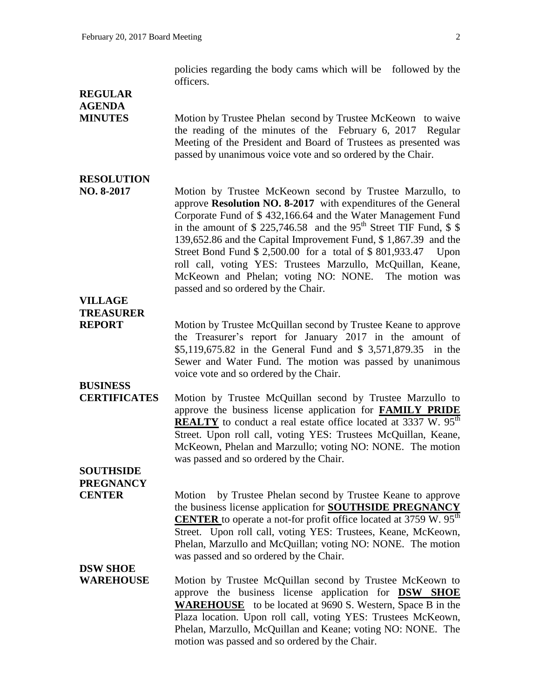policies regarding the body cams which will be followed by the officers.

## **REGULAR AGENDA**

**MINUTES** Motion by Trustee Phelan second by Trustee McKeown to waive the reading of the minutes of the February 6, 2017 Regular Meeting of the President and Board of Trustees as presented was passed by unanimous voice vote and so ordered by the Chair.

## **RESOLUTION**

**NO. 8-2017** Motion by Trustee McKeown second by Trustee Marzullo, to approve **Resolution NO. 8-2017** with expenditures of the General Corporate Fund of \$ 432,166.64 and the Water Management Fund in the amount of  $$ 225,746.58$  and the 95<sup>th</sup> Street TIF Fund,  $$ $$ 139,652.86 and the Capital Improvement Fund, \$ 1,867.39 and the Street Bond Fund \$ 2,500.00 for a total of \$ 801,933.47 Upon roll call, voting YES: Trustees Marzullo, McQuillan, Keane, McKeown and Phelan; voting NO: NONE. The motion was passed and so ordered by the Chair.

## **VILLAGE TREASURER**

**REPORT** Motion by Trustee McQuillan second by Trustee Keane to approve the Treasurer's report for January 2017 in the amount of \$5,119,675.82 in the General Fund and \$ 3,571,879.35 in the Sewer and Water Fund. The motion was passed by unanimous voice vote and so ordered by the Chair.

## **BUSINESS**

**CERTIFICATES** Motion by Trustee McQuillan second by Trustee Marzullo to approve the business license application for **FAMILY PRIDE REALTY** to conduct a real estate office located at 3337 W. 95<sup>th</sup> Street. Upon roll call, voting YES: Trustees McQuillan, Keane, McKeown, Phelan and Marzullo; voting NO: NONE. The motion was passed and so ordered by the Chair.

## **SOUTHSIDE PREGNANCY**

**CENTER** Motion by Trustee Phelan second by Trustee Keane to approve the business license application for **SOUTHSIDE PREGNANCY CENTER** to operate a not-for profit office located at  $3759 \text{ W}$ .  $95^{\text{th}}$ Street. Upon roll call, voting YES: Trustees, Keane, McKeown, Phelan, Marzullo and McQuillan; voting NO: NONE. The motion was passed and so ordered by the Chair.

### **DSW SHOE**

**WAREHOUSE** Motion by Trustee McQuillan second by Trustee McKeown to approve the business license application for **DSW SHOE WAREHOUSE** to be located at 9690 S. Western, Space B in the Plaza location. Upon roll call, voting YES: Trustees McKeown, Phelan, Marzullo, McQuillan and Keane; voting NO: NONE. The motion was passed and so ordered by the Chair.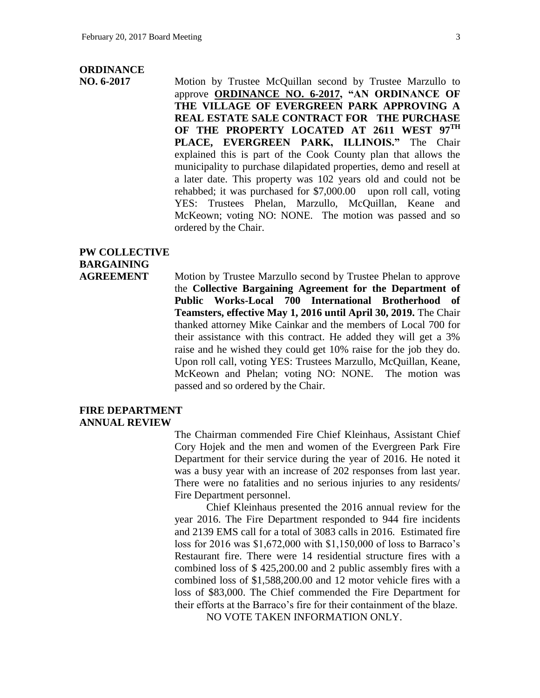### **ORDINANCE**

**NO. 6-2017** Motion by Trustee McQuillan second by Trustee Marzullo to approve **ORDINANCE NO. 6-2017, "AN ORDINANCE OF THE VILLAGE OF EVERGREEN PARK APPROVING A REAL ESTATE SALE CONTRACT FOR THE PURCHASE OF THE PROPERTY LOCATED AT 2611 WEST 97TH PLACE, EVERGREEN PARK, ILLINOIS."** The Chair explained this is part of the Cook County plan that allows the municipality to purchase dilapidated properties, demo and resell at a later date. This property was 102 years old and could not be rehabbed; it was purchased for \$7,000.00 upon roll call, voting YES: Trustees Phelan, Marzullo, McQuillan, Keane and McKeown; voting NO: NONE. The motion was passed and so ordered by the Chair.

## **PW COLLECTIVE BARGAINING**

**AGREEMENT** Motion by Trustee Marzullo second by Trustee Phelan to approve the **Collective Bargaining Agreement for the Department of Public Works-Local 700 International Brotherhood of Teamsters, effective May 1, 2016 until April 30, 2019.** The Chair thanked attorney Mike Cainkar and the members of Local 700 for their assistance with this contract. He added they will get a 3% raise and he wished they could get 10% raise for the job they do. Upon roll call, voting YES: Trustees Marzullo, McQuillan, Keane, McKeown and Phelan; voting NO: NONE. The motion was passed and so ordered by the Chair.

#### **FIRE DEPARTMENT ANNUAL REVIEW**

The Chairman commended Fire Chief Kleinhaus, Assistant Chief Cory Hojek and the men and women of the Evergreen Park Fire Department for their service during the year of 2016. He noted it was a busy year with an increase of 202 responses from last year. There were no fatalities and no serious injuries to any residents/ Fire Department personnel.

Chief Kleinhaus presented the 2016 annual review for the year 2016. The Fire Department responded to 944 fire incidents and 2139 EMS call for a total of 3083 calls in 2016. Estimated fire loss for 2016 was \$1,672,000 with \$1,150,000 of loss to Barraco's Restaurant fire. There were 14 residential structure fires with a combined loss of \$ 425,200.00 and 2 public assembly fires with a combined loss of \$1,588,200.00 and 12 motor vehicle fires with a loss of \$83,000. The Chief commended the Fire Department for their efforts at the Barraco's fire for their containment of the blaze.

NO VOTE TAKEN INFORMATION ONLY.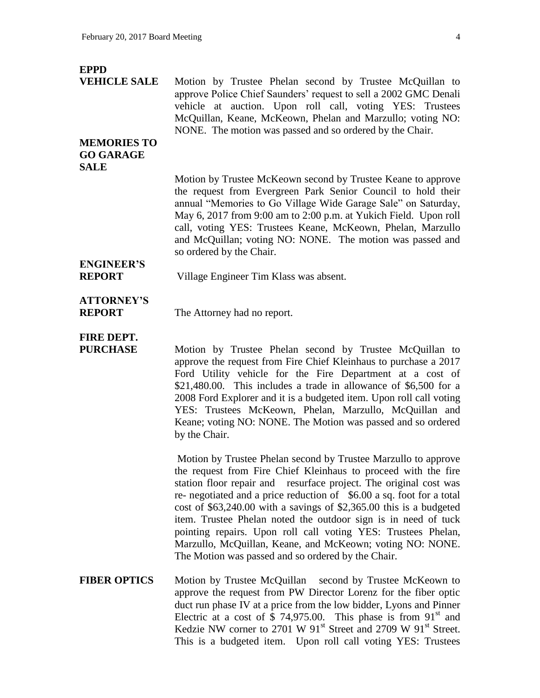### **EPPD**

**VEHICLE SALE** Motion by Trustee Phelan second by Trustee McQuillan to approve Police Chief Saunders' request to sell a 2002 GMC Denali vehicle at auction. Upon roll call, voting YES: Trustees McQuillan, Keane, McKeown, Phelan and Marzullo; voting NO: NONE. The motion was passed and so ordered by the Chair.

### **MEMORIES TO GO GARAGE SALE**

Motion by Trustee McKeown second by Trustee Keane to approve the request from Evergreen Park Senior Council to hold their annual "Memories to Go Village Wide Garage Sale" on Saturday, May 6, 2017 from 9:00 am to 2:00 p.m. at Yukich Field. Upon roll call, voting YES: Trustees Keane, McKeown, Phelan, Marzullo and McQuillan; voting NO: NONE. The motion was passed and so ordered by the Chair.

# **ENGINEER'S**

**REPORT** Village Engineer Tim Klass was absent.

### **ATTORNEY'S**

**REPORT** The Attorney had no report.

## **FIRE DEPT.**

**PURCHASE** Motion by Trustee Phelan second by Trustee McQuillan to approve the request from Fire Chief Kleinhaus to purchase a 2017 Ford Utility vehicle for the Fire Department at a cost of \$21,480.00. This includes a trade in allowance of \$6,500 for a 2008 Ford Explorer and it is a budgeted item. Upon roll call voting YES: Trustees McKeown, Phelan, Marzullo, McQuillan and Keane; voting NO: NONE. The Motion was passed and so ordered by the Chair.

> Motion by Trustee Phelan second by Trustee Marzullo to approve the request from Fire Chief Kleinhaus to proceed with the fire station floor repair and resurface project. The original cost was re- negotiated and a price reduction of \$6.00 a sq. foot for a total cost of \$63,240.00 with a savings of \$2,365.00 this is a budgeted item. Trustee Phelan noted the outdoor sign is in need of tuck pointing repairs. Upon roll call voting YES: Trustees Phelan, Marzullo, McQuillan, Keane, and McKeown; voting NO: NONE. The Motion was passed and so ordered by the Chair.

**FIBER OPTICS** Motion by Trustee McQuillan second by Trustee McKeown to approve the request from PW Director Lorenz for the fiber optic duct run phase IV at a price from the low bidder, Lyons and Pinner Electric at a cost of \$ 74,975.00. This phase is from  $91<sup>st</sup>$  and Kedzie NW corner to 2701 W 91 $\mathrm{st}$  Street and 2709 W 91 $\mathrm{st}$  Street. This is a budgeted item. Upon roll call voting YES: Trustees